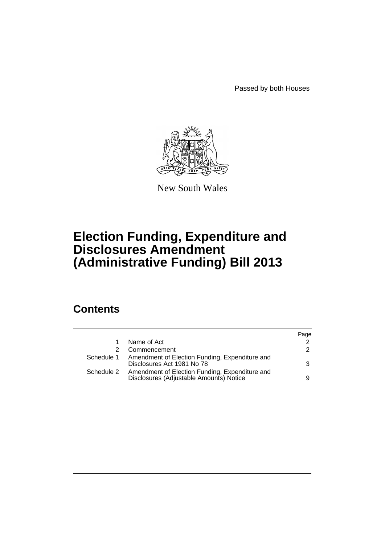Passed by both Houses



New South Wales

# **Election Funding, Expenditure and Disclosures Amendment (Administrative Funding) Bill 2013**

## **Contents**

|            |                                                                                           | Page          |
|------------|-------------------------------------------------------------------------------------------|---------------|
|            | Name of Act                                                                               | $\mathcal{P}$ |
|            | Commencement                                                                              | $\mathcal{P}$ |
| Schedule 1 | Amendment of Election Funding, Expenditure and<br>Disclosures Act 1981 No 78              | 3             |
| Schedule 2 | Amendment of Election Funding, Expenditure and<br>Disclosures (Adjustable Amounts) Notice | 9             |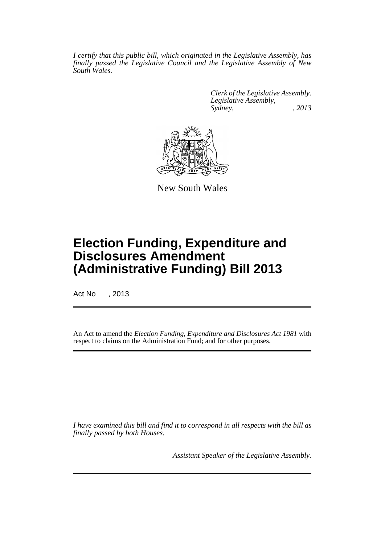*I certify that this public bill, which originated in the Legislative Assembly, has finally passed the Legislative Council and the Legislative Assembly of New South Wales.*

> *Clerk of the Legislative Assembly. Legislative Assembly, Sydney, , 2013*



New South Wales

## **Election Funding, Expenditure and Disclosures Amendment (Administrative Funding) Bill 2013**

Act No , 2013

An Act to amend the *Election Funding, Expenditure and Disclosures Act 1981* with respect to claims on the Administration Fund; and for other purposes.

*I have examined this bill and find it to correspond in all respects with the bill as finally passed by both Houses.*

*Assistant Speaker of the Legislative Assembly.*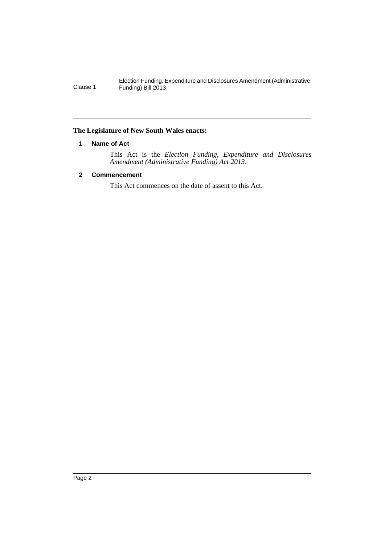#### <span id="page-3-0"></span>**The Legislature of New South Wales enacts:**

#### **1 Name of Act**

This Act is the *Election Funding, Expenditure and Disclosures Amendment (Administrative Funding) Act 2013*.

#### <span id="page-3-1"></span>**2 Commencement**

This Act commences on the date of assent to this Act.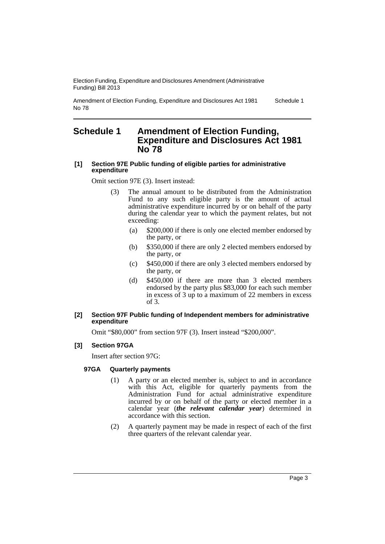Amendment of Election Funding, Expenditure and Disclosures Act 1981 No 78 Schedule 1

### <span id="page-4-0"></span>**Schedule 1 Amendment of Election Funding, Expenditure and Disclosures Act 1981 No 78**

#### **[1] Section 97E Public funding of eligible parties for administrative expenditure**

Omit section 97E (3). Insert instead:

- (3) The annual amount to be distributed from the Administration Fund to any such eligible party is the amount of actual administrative expenditure incurred by or on behalf of the party during the calendar year to which the payment relates, but not exceeding:
	- (a) \$200,000 if there is only one elected member endorsed by the party, or
	- (b) \$350,000 if there are only 2 elected members endorsed by the party, or
	- (c) \$450,000 if there are only 3 elected members endorsed by the party, or
	- (d) \$450,000 if there are more than 3 elected members endorsed by the party plus \$83,000 for each such member in excess of 3 up to a maximum of 22 members in excess of 3.

#### **[2] Section 97F Public funding of Independent members for administrative expenditure**

Omit "\$80,000" from section 97F (3). Insert instead "\$200,000".

#### **[3] Section 97GA**

Insert after section 97G:

#### **97GA Quarterly payments**

- (1) A party or an elected member is, subject to and in accordance with this Act, eligible for quarterly payments from the Administration Fund for actual administrative expenditure incurred by or on behalf of the party or elected member in a calendar year (*the relevant calendar year*) determined in accordance with this section.
- (2) A quarterly payment may be made in respect of each of the first three quarters of the relevant calendar year.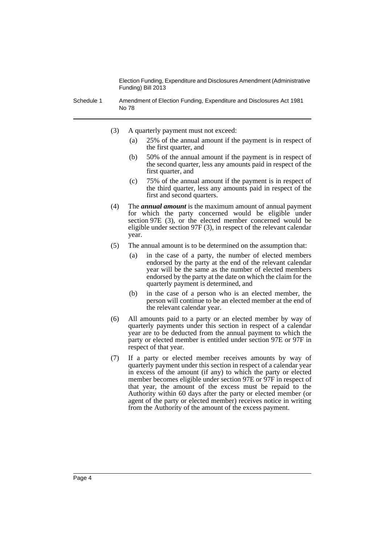Schedule 1 Amendment of Election Funding, Expenditure and Disclosures Act 1981 No 78

- (3) A quarterly payment must not exceed:
	- (a) 25% of the annual amount if the payment is in respect of the first quarter, and
	- (b) 50% of the annual amount if the payment is in respect of the second quarter, less any amounts paid in respect of the first quarter, and
	- (c) 75% of the annual amount if the payment is in respect of the third quarter, less any amounts paid in respect of the first and second quarters.
- (4) The *annual amount* is the maximum amount of annual payment for which the party concerned would be eligible under section 97E (3), or the elected member concerned would be eligible under section 97F (3), in respect of the relevant calendar year.
- (5) The annual amount is to be determined on the assumption that:
	- (a) in the case of a party, the number of elected members endorsed by the party at the end of the relevant calendar year will be the same as the number of elected members endorsed by the party at the date on which the claim for the quarterly payment is determined, and
	- (b) in the case of a person who is an elected member, the person will continue to be an elected member at the end of the relevant calendar year.
- (6) All amounts paid to a party or an elected member by way of quarterly payments under this section in respect of a calendar year are to be deducted from the annual payment to which the party or elected member is entitled under section 97E or 97F in respect of that year.
- (7) If a party or elected member receives amounts by way of quarterly payment under this section in respect of a calendar year in excess of the amount (if any) to which the party or elected member becomes eligible under section 97E or 97F in respect of that year, the amount of the excess must be repaid to the Authority within 60 days after the party or elected member (or agent of the party or elected member) receives notice in writing from the Authority of the amount of the excess payment.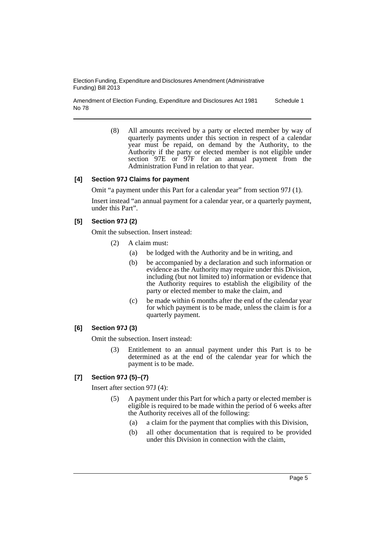Amendment of Election Funding, Expenditure and Disclosures Act 1981 No 78 Schedule 1

> (8) All amounts received by a party or elected member by way of quarterly payments under this section in respect of a calendar year must be repaid, on demand by the Authority, to the Authority if the party or elected member is not eligible under section 97E or 97F for an annual payment from the Administration Fund in relation to that year.

#### **[4] Section 97J Claims for payment**

Omit "a payment under this Part for a calendar year" from section 97J (1).

Insert instead "an annual payment for a calendar year, or a quarterly payment, under this Part".

#### **[5] Section 97J (2)**

Omit the subsection. Insert instead:

- (2) A claim must:
	- (a) be lodged with the Authority and be in writing, and
	- (b) be accompanied by a declaration and such information or evidence as the Authority may require under this Division, including (but not limited to) information or evidence that the Authority requires to establish the eligibility of the party or elected member to make the claim, and
	- (c) be made within 6 months after the end of the calendar year for which payment is to be made, unless the claim is for a quarterly payment.

#### **[6] Section 97J (3)**

Omit the subsection. Insert instead:

(3) Entitlement to an annual payment under this Part is to be determined as at the end of the calendar year for which the payment is to be made.

#### **[7] Section 97J (5)–(7)**

Insert after section 97J (4):

- (5) A payment under this Part for which a party or elected member is eligible is required to be made within the period of 6 weeks after the Authority receives all of the following:
	- (a) a claim for the payment that complies with this Division,
	- (b) all other documentation that is required to be provided under this Division in connection with the claim,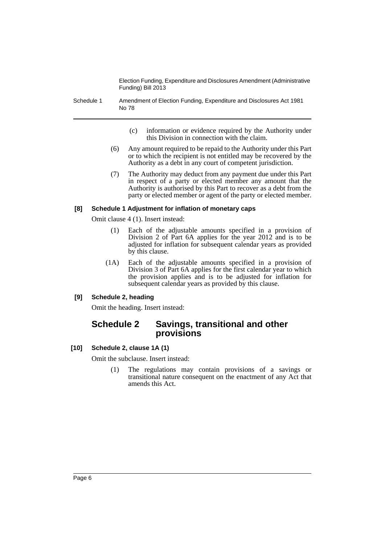Schedule 1 Amendment of Election Funding, Expenditure and Disclosures Act 1981 No 78

- (c) information or evidence required by the Authority under this Division in connection with the claim.
- (6) Any amount required to be repaid to the Authority under this Part or to which the recipient is not entitled may be recovered by the Authority as a debt in any court of competent jurisdiction.
- (7) The Authority may deduct from any payment due under this Part in respect of a party or elected member any amount that the Authority is authorised by this Part to recover as a debt from the party or elected member or agent of the party or elected member.

#### **[8] Schedule 1 Adjustment for inflation of monetary caps**

Omit clause 4 (1). Insert instead:

- (1) Each of the adjustable amounts specified in a provision of Division 2 of Part 6A applies for the year 2012 and is to be adjusted for inflation for subsequent calendar years as provided by this clause.
- (1A) Each of the adjustable amounts specified in a provision of Division 3 of Part 6A applies for the first calendar year to which the provision applies and is to be adjusted for inflation for subsequent calendar years as provided by this clause.

#### **[9] Schedule 2, heading**

Omit the heading. Insert instead:

## **Schedule 2 Savings, transitional and other provisions**

#### **[10] Schedule 2, clause 1A (1)**

Omit the subclause. Insert instead:

(1) The regulations may contain provisions of a savings or transitional nature consequent on the enactment of any Act that amends this Act.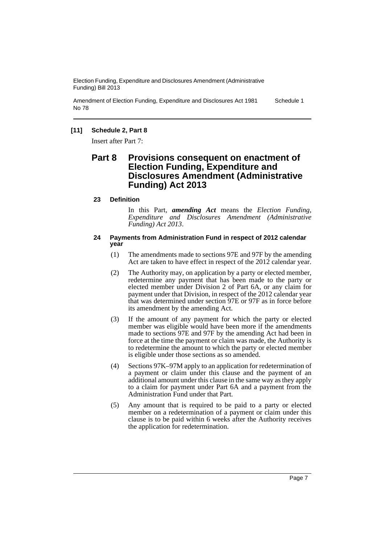Amendment of Election Funding, Expenditure and Disclosures Act 1981 No 78 Schedule 1

#### **[11] Schedule 2, Part 8**

Insert after Part 7:

### **Part 8 Provisions consequent on enactment of Election Funding, Expenditure and Disclosures Amendment (Administrative Funding) Act 2013**

#### **23 Definition**

In this Part, *amending Act* means the *Election Funding, Expenditure and Disclosures Amendment (Administrative Funding) Act 2013*.

#### **24 Payments from Administration Fund in respect of 2012 calendar year**

- (1) The amendments made to sections 97E and 97F by the amending Act are taken to have effect in respect of the 2012 calendar year.
- (2) The Authority may, on application by a party or elected member, redetermine any payment that has been made to the party or elected member under Division 2 of Part 6A, or any claim for payment under that Division, in respect of the 2012 calendar year that was determined under section 97E or 97F as in force before its amendment by the amending Act.
- (3) If the amount of any payment for which the party or elected member was eligible would have been more if the amendments made to sections 97E and 97F by the amending Act had been in force at the time the payment or claim was made, the Authority is to redetermine the amount to which the party or elected member is eligible under those sections as so amended.
- (4) Sections 97K–97M apply to an application for redetermination of a payment or claim under this clause and the payment of an additional amount under this clause in the same way as they apply to a claim for payment under Part 6A and a payment from the Administration Fund under that Part.
- (5) Any amount that is required to be paid to a party or elected member on a redetermination of a payment or claim under this clause is to be paid within 6 weeks after the Authority receives the application for redetermination.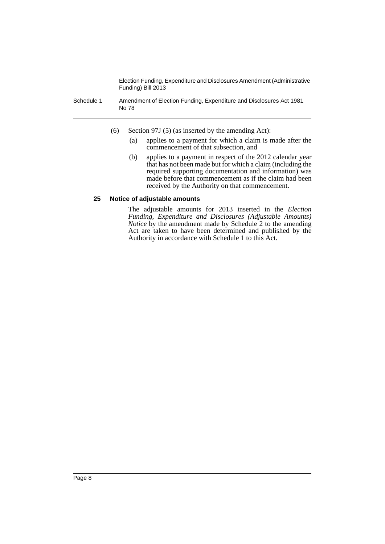Schedule 1 Amendment of Election Funding, Expenditure and Disclosures Act 1981 No 78

- (6) Section 97J (5) (as inserted by the amending Act):
	- (a) applies to a payment for which a claim is made after the commencement of that subsection, and
	- (b) applies to a payment in respect of the 2012 calendar year that has not been made but for which a claim (including the required supporting documentation and information) was made before that commencement as if the claim had been received by the Authority on that commencement.

#### **25 Notice of adjustable amounts**

The adjustable amounts for 2013 inserted in the *Election Funding, Expenditure and Disclosures (Adjustable Amounts) Notice* by the amendment made by Schedule 2 to the amending Act are taken to have been determined and published by the Authority in accordance with Schedule 1 to this Act.